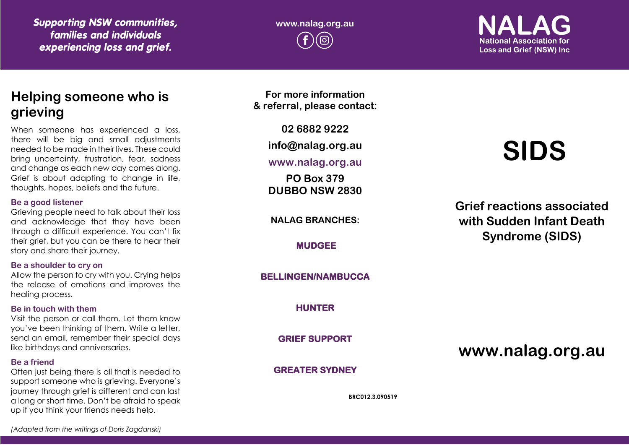*Supporting NSW communities, families and individuals experiencing loss and grief.*

**www.nalag.org.au**

**National Association for Loss and Grief (NSW) Inc.** 

# **Helping someone who is grieving**

When someone has experienced a loss, there will be big and small adjustments needed to be made in their lives. These could bring uncertainty, frustration, fear, sadness and change as each new day comes along. Grief is about adapting to change in life, thoughts, hopes, beliefs and the future.

#### **Be a good listener**

Grieving people need to talk about their loss and acknowledge that they have been through a difficult experience. You can't fix their grief, but you can be there to hear their story and share their journey.

#### **Be a shoulder to cry on**

Allow the person to cry with you. Crying helps the release of emotions and improves the healing process.

#### **Be in touch with them**

Visit the person or call them. Let them know you've been thinking of them. Write a letter, send an email, remember their special days like birthdays and anniversaries.

#### **Be a friend**

Often just being there is all that is needed to support someone who is grieving. Everyone's journey through grief is different and can last a long or short time. Don't be afraid to speak up if you think your friends needs help.

**For more information & referral, please contact:**

**02 6882 9222**

**info@nalag.org.au**

#### **www.nalag.org.au**

**PO Box 379 DUBBO NSW 2830**

**NALAG BRANCHES:**

**MUDGEE** 

#### **BELLINGEN/NAMBUCCA**

**HUNTER** 

**GRIEF SUPPORT** 

## **GREATER SYDNEY**

**BRC012.3.090519**

# **SIDS**

**Grief reactions associated with Sudden Infant Death Syndrome (SIDS)**

**www.nalag.org.au**

*(Adapted from the writings of Doris Zagdanski)*